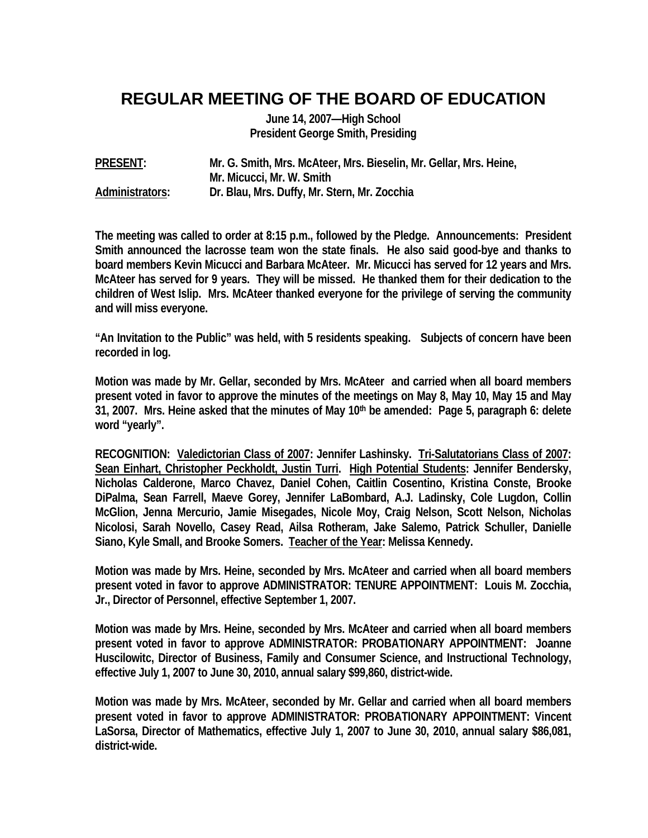## **REGULAR MEETING OF THE BOARD OF EDUCATION**

**June 14, 2007—High School President George Smith, Presiding** 

**PRESENT: Mr. G. Smith, Mrs. McAteer, Mrs. Bieselin, Mr. Gellar, Mrs. Heine, Mr. Micucci, Mr. W. Smith Administrators: Dr. Blau, Mrs. Duffy, Mr. Stern, Mr. Zocchia** 

**The meeting was called to order at 8:15 p.m., followed by the Pledge. Announcements: President Smith announced the lacrosse team won the state finals. He also said good-bye and thanks to board members Kevin Micucci and Barbara McAteer. Mr. Micucci has served for 12 years and Mrs. McAteer has served for 9 years. They will be missed. He thanked them for their dedication to the children of West Islip. Mrs. McAteer thanked everyone for the privilege of serving the community and will miss everyone.** 

**"An Invitation to the Public" was held, with 5 residents speaking. Subjects of concern have been recorded in log.** 

**Motion was made by Mr. Gellar, seconded by Mrs. McAteer and carried when all board members present voted in favor to approve the minutes of the meetings on May 8, May 10, May 15 and May 31, 2007. Mrs. Heine asked that the minutes of May 10th be amended: Page 5, paragraph 6: delete word "yearly".** 

**RECOGNITION: Valedictorian Class of 2007: Jennifer Lashinsky. Tri-Salutatorians Class of 2007: Sean Einhart, Christopher Peckholdt, Justin Turri. High Potential Students: Jennifer Bendersky, Nicholas Calderone, Marco Chavez, Daniel Cohen, Caitlin Cosentino, Kristina Conste, Brooke DiPalma, Sean Farrell, Maeve Gorey, Jennifer LaBombard, A.J. Ladinsky, Cole Lugdon, Collin McGlion, Jenna Mercurio, Jamie Misegades, Nicole Moy, Craig Nelson, Scott Nelson, Nicholas Nicolosi, Sarah Novello, Casey Read, Ailsa Rotheram, Jake Salemo, Patrick Schuller, Danielle Siano, Kyle Small, and Brooke Somers. Teacher of the Year: Melissa Kennedy.** 

**Motion was made by Mrs. Heine, seconded by Mrs. McAteer and carried when all board members present voted in favor to approve ADMINISTRATOR: TENURE APPOINTMENT: Louis M. Zocchia, Jr., Director of Personnel, effective September 1, 2007.** 

**Motion was made by Mrs. Heine, seconded by Mrs. McAteer and carried when all board members present voted in favor to approve ADMINISTRATOR: PROBATIONARY APPOINTMENT: Joanne Huscilowitc, Director of Business, Family and Consumer Science, and Instructional Technology, effective July 1, 2007 to June 30, 2010, annual salary \$99,860, district-wide.** 

**Motion was made by Mrs. McAteer, seconded by Mr. Gellar and carried when all board members present voted in favor to approve ADMINISTRATOR: PROBATIONARY APPOINTMENT: Vincent LaSorsa, Director of Mathematics, effective July 1, 2007 to June 30, 2010, annual salary \$86,081, district-wide.**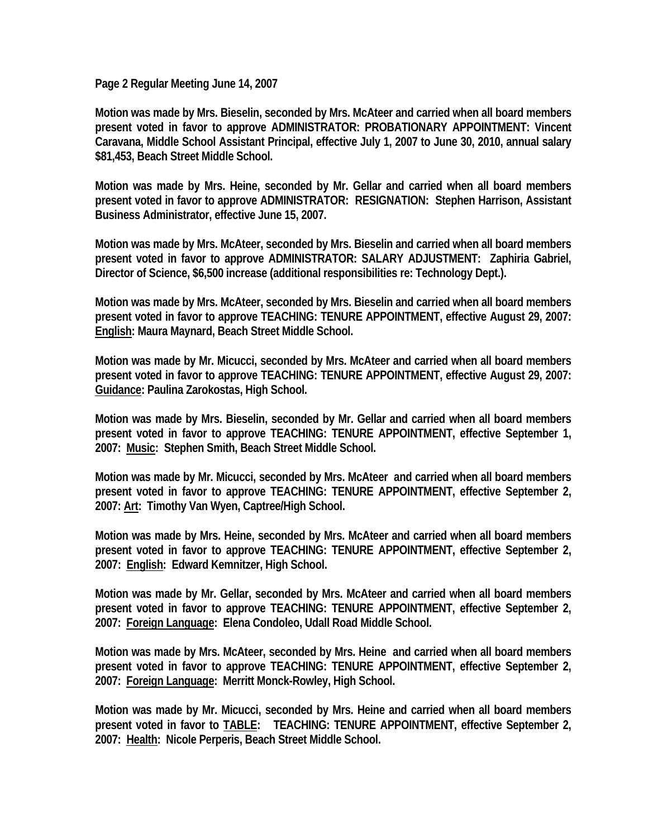**Page 2 Regular Meeting June 14, 2007** 

**Motion was made by Mrs. Bieselin, seconded by Mrs. McAteer and carried when all board members present voted in favor to approve ADMINISTRATOR: PROBATIONARY APPOINTMENT: Vincent Caravana, Middle School Assistant Principal, effective July 1, 2007 to June 30, 2010, annual salary \$81,453, Beach Street Middle School.** 

**Motion was made by Mrs. Heine, seconded by Mr. Gellar and carried when all board members present voted in favor to approve ADMINISTRATOR: RESIGNATION: Stephen Harrison, Assistant Business Administrator, effective June 15, 2007.** 

**Motion was made by Mrs. McAteer, seconded by Mrs. Bieselin and carried when all board members present voted in favor to approve ADMINISTRATOR: SALARY ADJUSTMENT: Zaphiria Gabriel, Director of Science, \$6,500 increase (additional responsibilities re: Technology Dept.).** 

**Motion was made by Mrs. McAteer, seconded by Mrs. Bieselin and carried when all board members present voted in favor to approve TEACHING: TENURE APPOINTMENT, effective August 29, 2007: English: Maura Maynard, Beach Street Middle School.** 

**Motion was made by Mr. Micucci, seconded by Mrs. McAteer and carried when all board members present voted in favor to approve TEACHING: TENURE APPOINTMENT, effective August 29, 2007: Guidance: Paulina Zarokostas, High School.** 

**Motion was made by Mrs. Bieselin, seconded by Mr. Gellar and carried when all board members present voted in favor to approve TEACHING: TENURE APPOINTMENT, effective September 1, 2007: Music: Stephen Smith, Beach Street Middle School.** 

**Motion was made by Mr. Micucci, seconded by Mrs. McAteer and carried when all board members present voted in favor to approve TEACHING: TENURE APPOINTMENT, effective September 2, 2007: Art: Timothy Van Wyen, Captree/High School.** 

**Motion was made by Mrs. Heine, seconded by Mrs. McAteer and carried when all board members present voted in favor to approve TEACHING: TENURE APPOINTMENT, effective September 2, 2007: English: Edward Kemnitzer, High School.** 

**Motion was made by Mr. Gellar, seconded by Mrs. McAteer and carried when all board members present voted in favor to approve TEACHING: TENURE APPOINTMENT, effective September 2, 2007: Foreign Language: Elena Condoleo, Udall Road Middle School.** 

**Motion was made by Mrs. McAteer, seconded by Mrs. Heine and carried when all board members present voted in favor to approve TEACHING: TENURE APPOINTMENT, effective September 2, 2007: Foreign Language: Merritt Monck-Rowley, High School.** 

**Motion was made by Mr. Micucci, seconded by Mrs. Heine and carried when all board members present voted in favor to TABLE: TEACHING: TENURE APPOINTMENT, effective September 2, 2007: Health: Nicole Perperis, Beach Street Middle School.**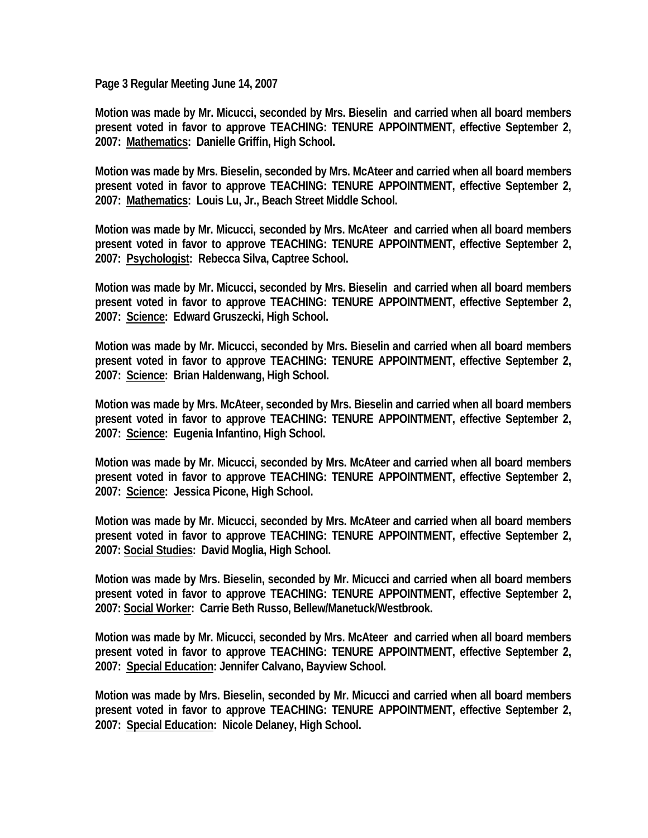**Page 3 Regular Meeting June 14, 2007** 

**Motion was made by Mr. Micucci, seconded by Mrs. Bieselin and carried when all board members present voted in favor to approve TEACHING: TENURE APPOINTMENT, effective September 2, 2007: Mathematics: Danielle Griffin, High School.** 

**Motion was made by Mrs. Bieselin, seconded by Mrs. McAteer and carried when all board members present voted in favor to approve TEACHING: TENURE APPOINTMENT, effective September 2, 2007: Mathematics: Louis Lu, Jr., Beach Street Middle School.** 

**Motion was made by Mr. Micucci, seconded by Mrs. McAteer and carried when all board members present voted in favor to approve TEACHING: TENURE APPOINTMENT, effective September 2, 2007: Psychologist: Rebecca Silva, Captree School.** 

**Motion was made by Mr. Micucci, seconded by Mrs. Bieselin and carried when all board members present voted in favor to approve TEACHING: TENURE APPOINTMENT, effective September 2, 2007: Science: Edward Gruszecki, High School.** 

**Motion was made by Mr. Micucci, seconded by Mrs. Bieselin and carried when all board members present voted in favor to approve TEACHING: TENURE APPOINTMENT, effective September 2, 2007: Science: Brian Haldenwang, High School.** 

**Motion was made by Mrs. McAteer, seconded by Mrs. Bieselin and carried when all board members present voted in favor to approve TEACHING: TENURE APPOINTMENT, effective September 2, 2007: Science: Eugenia Infantino, High School.** 

**Motion was made by Mr. Micucci, seconded by Mrs. McAteer and carried when all board members present voted in favor to approve TEACHING: TENURE APPOINTMENT, effective September 2, 2007: Science: Jessica Picone, High School.** 

**Motion was made by Mr. Micucci, seconded by Mrs. McAteer and carried when all board members present voted in favor to approve TEACHING: TENURE APPOINTMENT, effective September 2, 2007: Social Studies: David Moglia, High School.** 

**Motion was made by Mrs. Bieselin, seconded by Mr. Micucci and carried when all board members present voted in favor to approve TEACHING: TENURE APPOINTMENT, effective September 2, 2007: Social Worker: Carrie Beth Russo, Bellew/Manetuck/Westbrook.** 

**Motion was made by Mr. Micucci, seconded by Mrs. McAteer and carried when all board members present voted in favor to approve TEACHING: TENURE APPOINTMENT, effective September 2, 2007: Special Education: Jennifer Calvano, Bayview School.** 

**Motion was made by Mrs. Bieselin, seconded by Mr. Micucci and carried when all board members present voted in favor to approve TEACHING: TENURE APPOINTMENT, effective September 2, 2007: Special Education: Nicole Delaney, High School.**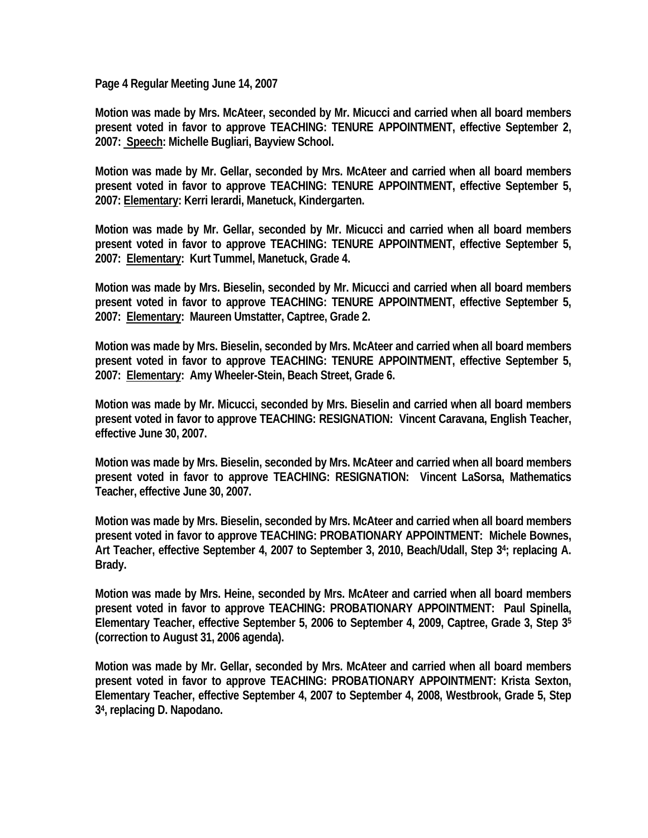**Page 4 Regular Meeting June 14, 2007** 

**Motion was made by Mrs. McAteer, seconded by Mr. Micucci and carried when all board members present voted in favor to approve TEACHING: TENURE APPOINTMENT, effective September 2, 2007: Speech: Michelle Bugliari, Bayview School.** 

**Motion was made by Mr. Gellar, seconded by Mrs. McAteer and carried when all board members present voted in favor to approve TEACHING: TENURE APPOINTMENT, effective September 5, 2007: Elementary: Kerri Ierardi, Manetuck, Kindergarten.** 

**Motion was made by Mr. Gellar, seconded by Mr. Micucci and carried when all board members present voted in favor to approve TEACHING: TENURE APPOINTMENT, effective September 5, 2007: Elementary: Kurt Tummel, Manetuck, Grade 4.** 

**Motion was made by Mrs. Bieselin, seconded by Mr. Micucci and carried when all board members present voted in favor to approve TEACHING: TENURE APPOINTMENT, effective September 5, 2007: Elementary: Maureen Umstatter, Captree, Grade 2.** 

**Motion was made by Mrs. Bieselin, seconded by Mrs. McAteer and carried when all board members present voted in favor to approve TEACHING: TENURE APPOINTMENT, effective September 5, 2007: Elementary: Amy Wheeler-Stein, Beach Street, Grade 6.** 

**Motion was made by Mr. Micucci, seconded by Mrs. Bieselin and carried when all board members present voted in favor to approve TEACHING: RESIGNATION: Vincent Caravana, English Teacher, effective June 30, 2007.** 

**Motion was made by Mrs. Bieselin, seconded by Mrs. McAteer and carried when all board members present voted in favor to approve TEACHING: RESIGNATION: Vincent LaSorsa, Mathematics Teacher, effective June 30, 2007.** 

**Motion was made by Mrs. Bieselin, seconded by Mrs. McAteer and carried when all board members present voted in favor to approve TEACHING: PROBATIONARY APPOINTMENT: Michele Bownes, Art Teacher, effective September 4, 2007 to September 3, 2010, Beach/Udall, Step 34; replacing A. Brady.** 

**Motion was made by Mrs. Heine, seconded by Mrs. McAteer and carried when all board members present voted in favor to approve TEACHING: PROBATIONARY APPOINTMENT: Paul Spinella, Elementary Teacher, effective September 5, 2006 to September 4, 2009, Captree, Grade 3, Step 35 (correction to August 31, 2006 agenda).** 

**Motion was made by Mr. Gellar, seconded by Mrs. McAteer and carried when all board members present voted in favor to approve TEACHING: PROBATIONARY APPOINTMENT: Krista Sexton, Elementary Teacher, effective September 4, 2007 to September 4, 2008, Westbrook, Grade 5, Step 34, replacing D. Napodano.**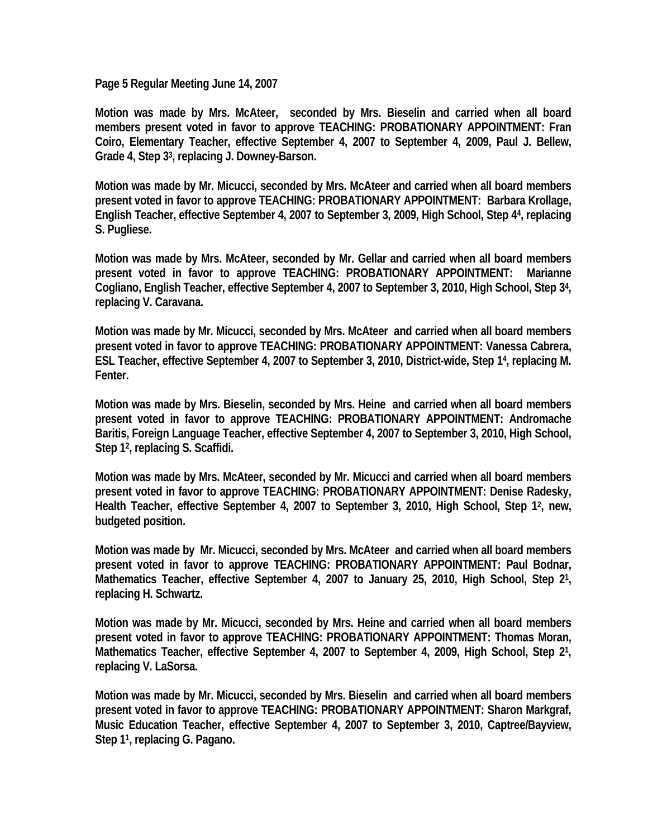**Page 5 Regular Meeting June 14, 2007** 

**Motion was made by Mrs. McAteer, seconded by Mrs. Bieselin and carried when all board members present voted in favor to approve TEACHING: PROBATIONARY APPOINTMENT: Fran Coiro, Elementary Teacher, effective September 4, 2007 to September 4, 2009, Paul J. Bellew, Grade 4, Step 33, replacing J. Downey-Barson.** 

**Motion was made by Mr. Micucci, seconded by Mrs. McAteer and carried when all board members present voted in favor to approve TEACHING: PROBATIONARY APPOINTMENT: Barbara Krollage, English Teacher, effective September 4, 2007 to September 3, 2009, High School, Step 44, replacing S. Pugliese.** 

**Motion was made by Mrs. McAteer, seconded by Mr. Gellar and carried when all board members present voted in favor to approve TEACHING: PROBATIONARY APPOINTMENT: Marianne Cogliano, English Teacher, effective September 4, 2007 to September 3, 2010, High School, Step 34, replacing V. Caravana.** 

**Motion was made by Mr. Micucci, seconded by Mrs. McAteer and carried when all board members present voted in favor to approve TEACHING: PROBATIONARY APPOINTMENT: Vanessa Cabrera, ESL Teacher, effective September 4, 2007 to September 3, 2010, District-wide, Step 14, replacing M. Fenter.** 

**Motion was made by Mrs. Bieselin, seconded by Mrs. Heine and carried when all board members present voted in favor to approve TEACHING: PROBATIONARY APPOINTMENT: Andromache Baritis, Foreign Language Teacher, effective September 4, 2007 to September 3, 2010, High School, Step 12, replacing S. Scaffidi.** 

**Motion was made by Mrs. McAteer, seconded by Mr. Micucci and carried when all board members present voted in favor to approve TEACHING: PROBATIONARY APPOINTMENT: Denise Radesky, Health Teacher, effective September 4, 2007 to September 3, 2010, High School, Step 12, new, budgeted position.** 

**Motion was made by Mr. Micucci, seconded by Mrs. McAteer and carried when all board members present voted in favor to approve TEACHING: PROBATIONARY APPOINTMENT: Paul Bodnar, Mathematics Teacher, effective September 4, 2007 to January 25, 2010, High School, Step 21, replacing H. Schwartz.** 

**Motion was made by Mr. Micucci, seconded by Mrs. Heine and carried when all board members present voted in favor to approve TEACHING: PROBATIONARY APPOINTMENT: Thomas Moran, Mathematics Teacher, effective September 4, 2007 to September 4, 2009, High School, Step 21, replacing V. LaSorsa.** 

**Motion was made by Mr. Micucci, seconded by Mrs. Bieselin and carried when all board members present voted in favor to approve TEACHING: PROBATIONARY APPOINTMENT: Sharon Markgraf, Music Education Teacher, effective September 4, 2007 to September 3, 2010, Captree/Bayview, Step 11, replacing G. Pagano.**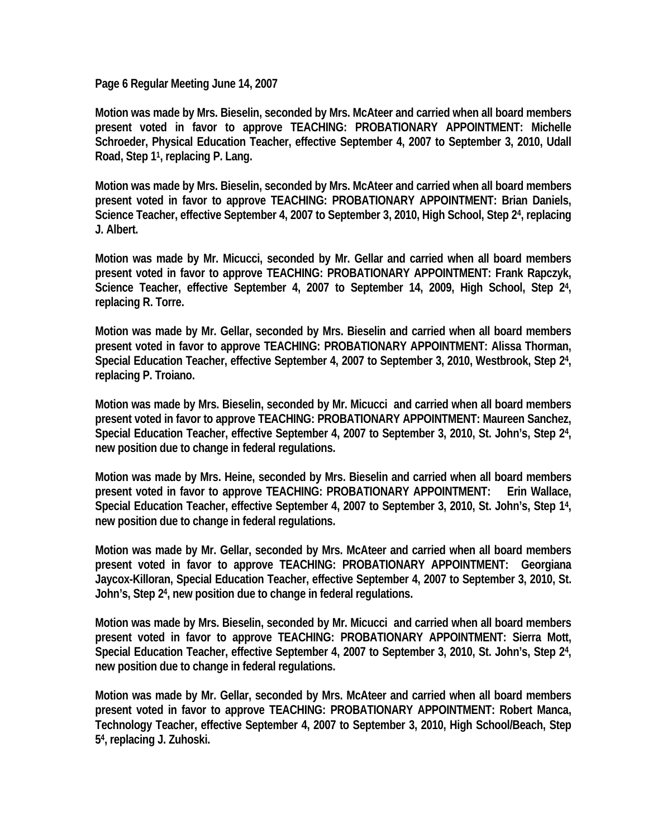**Page 6 Regular Meeting June 14, 2007** 

**Motion was made by Mrs. Bieselin, seconded by Mrs. McAteer and carried when all board members present voted in favor to approve TEACHING: PROBATIONARY APPOINTMENT: Michelle Schroeder, Physical Education Teacher, effective September 4, 2007 to September 3, 2010, Udall Road, Step 11, replacing P. Lang.** 

**Motion was made by Mrs. Bieselin, seconded by Mrs. McAteer and carried when all board members present voted in favor to approve TEACHING: PROBATIONARY APPOINTMENT: Brian Daniels, Science Teacher, effective September 4, 2007 to September 3, 2010, High School, Step 24, replacing J. Albert.** 

**Motion was made by Mr. Micucci, seconded by Mr. Gellar and carried when all board members present voted in favor to approve TEACHING: PROBATIONARY APPOINTMENT: Frank Rapczyk, Science Teacher, effective September 4, 2007 to September 14, 2009, High School, Step 24, replacing R. Torre.** 

**Motion was made by Mr. Gellar, seconded by Mrs. Bieselin and carried when all board members present voted in favor to approve TEACHING: PROBATIONARY APPOINTMENT: Alissa Thorman, Special Education Teacher, effective September 4, 2007 to September 3, 2010, Westbrook, Step 24, replacing P. Troiano.** 

**Motion was made by Mrs. Bieselin, seconded by Mr. Micucci and carried when all board members present voted in favor to approve TEACHING: PROBATIONARY APPOINTMENT: Maureen Sanchez, Special Education Teacher, effective September 4, 2007 to September 3, 2010, St. John's, Step 24, new position due to change in federal regulations.** 

**Motion was made by Mrs. Heine, seconded by Mrs. Bieselin and carried when all board members present voted in favor to approve TEACHING: PROBATIONARY APPOINTMENT: Erin Wallace, Special Education Teacher, effective September 4, 2007 to September 3, 2010, St. John's, Step 14, new position due to change in federal regulations.** 

**Motion was made by Mr. Gellar, seconded by Mrs. McAteer and carried when all board members present voted in favor to approve TEACHING: PROBATIONARY APPOINTMENT: Georgiana Jaycox-Killoran, Special Education Teacher, effective September 4, 2007 to September 3, 2010, St. John's, Step 24, new position due to change in federal regulations.** 

**Motion was made by Mrs. Bieselin, seconded by Mr. Micucci and carried when all board members present voted in favor to approve TEACHING: PROBATIONARY APPOINTMENT: Sierra Mott, Special Education Teacher, effective September 4, 2007 to September 3, 2010, St. John's, Step 24, new position due to change in federal regulations.** 

**Motion was made by Mr. Gellar, seconded by Mrs. McAteer and carried when all board members present voted in favor to approve TEACHING: PROBATIONARY APPOINTMENT: Robert Manca, Technology Teacher, effective September 4, 2007 to September 3, 2010, High School/Beach, Step 54, replacing J. Zuhoski.**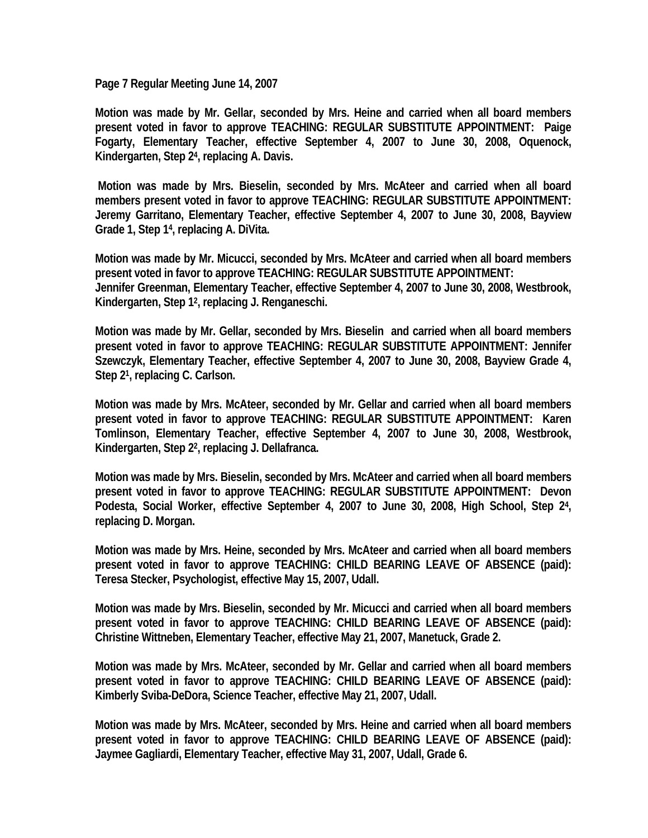**Page 7 Regular Meeting June 14, 2007** 

**Motion was made by Mr. Gellar, seconded by Mrs. Heine and carried when all board members present voted in favor to approve TEACHING: REGULAR SUBSTITUTE APPOINTMENT: Paige Fogarty, Elementary Teacher, effective September 4, 2007 to June 30, 2008, Oquenock, Kindergarten, Step 24, replacing A. Davis.** 

 **Motion was made by Mrs. Bieselin, seconded by Mrs. McAteer and carried when all board members present voted in favor to approve TEACHING: REGULAR SUBSTITUTE APPOINTMENT: Jeremy Garritano, Elementary Teacher, effective September 4, 2007 to June 30, 2008, Bayview Grade 1, Step 14, replacing A. DiVita.** 

**Motion was made by Mr. Micucci, seconded by Mrs. McAteer and carried when all board members present voted in favor to approve TEACHING: REGULAR SUBSTITUTE APPOINTMENT: Jennifer Greenman, Elementary Teacher, effective September 4, 2007 to June 30, 2008, Westbrook, Kindergarten, Step 12, replacing J. Renganeschi.** 

**Motion was made by Mr. Gellar, seconded by Mrs. Bieselin and carried when all board members present voted in favor to approve TEACHING: REGULAR SUBSTITUTE APPOINTMENT: Jennifer Szewczyk, Elementary Teacher, effective September 4, 2007 to June 30, 2008, Bayview Grade 4, Step 21, replacing C. Carlson.** 

**Motion was made by Mrs. McAteer, seconded by Mr. Gellar and carried when all board members present voted in favor to approve TEACHING: REGULAR SUBSTITUTE APPOINTMENT: Karen Tomlinson, Elementary Teacher, effective September 4, 2007 to June 30, 2008, Westbrook, Kindergarten, Step 22, replacing J. Dellafranca.** 

**Motion was made by Mrs. Bieselin, seconded by Mrs. McAteer and carried when all board members present voted in favor to approve TEACHING: REGULAR SUBSTITUTE APPOINTMENT: Devon Podesta, Social Worker, effective September 4, 2007 to June 30, 2008, High School, Step 24, replacing D. Morgan.** 

**Motion was made by Mrs. Heine, seconded by Mrs. McAteer and carried when all board members present voted in favor to approve TEACHING: CHILD BEARING LEAVE OF ABSENCE (paid): Teresa Stecker, Psychologist, effective May 15, 2007, Udall.** 

**Motion was made by Mrs. Bieselin, seconded by Mr. Micucci and carried when all board members present voted in favor to approve TEACHING: CHILD BEARING LEAVE OF ABSENCE (paid): Christine Wittneben, Elementary Teacher, effective May 21, 2007, Manetuck, Grade 2.** 

**Motion was made by Mrs. McAteer, seconded by Mr. Gellar and carried when all board members present voted in favor to approve TEACHING: CHILD BEARING LEAVE OF ABSENCE (paid): Kimberly Sviba-DeDora, Science Teacher, effective May 21, 2007, Udall.** 

**Motion was made by Mrs. McAteer, seconded by Mrs. Heine and carried when all board members present voted in favor to approve TEACHING: CHILD BEARING LEAVE OF ABSENCE (paid): Jaymee Gagliardi, Elementary Teacher, effective May 31, 2007, Udall, Grade 6.**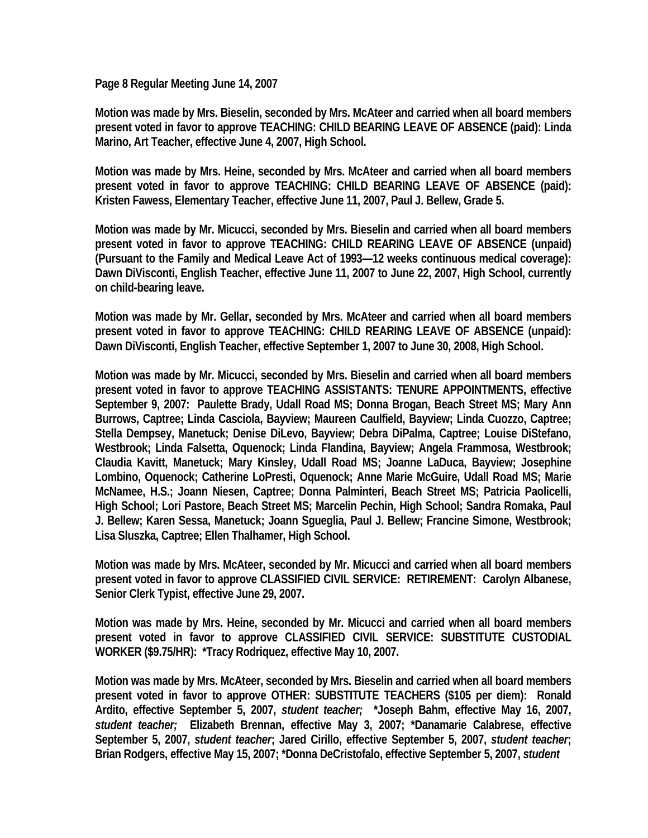**Page 8 Regular Meeting June 14, 2007** 

**Motion was made by Mrs. Bieselin, seconded by Mrs. McAteer and carried when all board members present voted in favor to approve TEACHING: CHILD BEARING LEAVE OF ABSENCE (paid): Linda Marino, Art Teacher, effective June 4, 2007, High School.** 

**Motion was made by Mrs. Heine, seconded by Mrs. McAteer and carried when all board members present voted in favor to approve TEACHING: CHILD BEARING LEAVE OF ABSENCE (paid): Kristen Fawess, Elementary Teacher, effective June 11, 2007, Paul J. Bellew, Grade 5.** 

**Motion was made by Mr. Micucci, seconded by Mrs. Bieselin and carried when all board members present voted in favor to approve TEACHING: CHILD REARING LEAVE OF ABSENCE (unpaid) (Pursuant to the Family and Medical Leave Act of 1993—12 weeks continuous medical coverage): Dawn DiVisconti, English Teacher, effective June 11, 2007 to June 22, 2007, High School, currently on child-bearing leave.** 

**Motion was made by Mr. Gellar, seconded by Mrs. McAteer and carried when all board members present voted in favor to approve TEACHING: CHILD REARING LEAVE OF ABSENCE (unpaid): Dawn DiVisconti, English Teacher, effective September 1, 2007 to June 30, 2008, High School.** 

**Motion was made by Mr. Micucci, seconded by Mrs. Bieselin and carried when all board members present voted in favor to approve TEACHING ASSISTANTS: TENURE APPOINTMENTS, effective September 9, 2007: Paulette Brady, Udall Road MS; Donna Brogan, Beach Street MS; Mary Ann Burrows, Captree; Linda Casciola, Bayview; Maureen Caulfield, Bayview; Linda Cuozzo, Captree; Stella Dempsey, Manetuck; Denise DiLevo, Bayview; Debra DiPalma, Captree; Louise DiStefano, Westbrook; Linda Falsetta, Oquenock; Linda Flandina, Bayview; Angela Frammosa, Westbrook; Claudia Kavitt, Manetuck; Mary Kinsley, Udall Road MS; Joanne LaDuca, Bayview; Josephine Lombino, Oquenock; Catherine LoPresti, Oquenock; Anne Marie McGuire, Udall Road MS; Marie McNamee, H.S.; Joann Niesen, Captree; Donna Palminteri, Beach Street MS; Patricia Paolicelli, High School; Lori Pastore, Beach Street MS; Marcelin Pechin, High School; Sandra Romaka, Paul J. Bellew; Karen Sessa, Manetuck; Joann Sgueglia, Paul J. Bellew; Francine Simone, Westbrook; Lisa Sluszka, Captree; Ellen Thalhamer, High School.** 

**Motion was made by Mrs. McAteer, seconded by Mr. Micucci and carried when all board members present voted in favor to approve CLASSIFIED CIVIL SERVICE: RETIREMENT: Carolyn Albanese, Senior Clerk Typist, effective June 29, 2007.** 

**Motion was made by Mrs. Heine, seconded by Mr. Micucci and carried when all board members present voted in favor to approve CLASSIFIED CIVIL SERVICE: SUBSTITUTE CUSTODIAL WORKER (\$9.75/HR): \*Tracy Rodriquez, effective May 10, 2007.** 

**Motion was made by Mrs. McAteer, seconded by Mrs. Bieselin and carried when all board members present voted in favor to approve OTHER: SUBSTITUTE TEACHERS (\$105 per diem): Ronald Ardito, effective September 5, 2007,** *student teacher;* **\*Joseph Bahm, effective May 16, 2007,**  *student teacher;* **Elizabeth Brennan, effective May 3, 2007; \*Danamarie Calabrese, effective September 5, 2007,** *student teacher***; Jared Cirillo, effective September 5, 2007,** *student teacher***; Brian Rodgers, effective May 15, 2007; \*Donna DeCristofalo, effective September 5, 2007,** *student*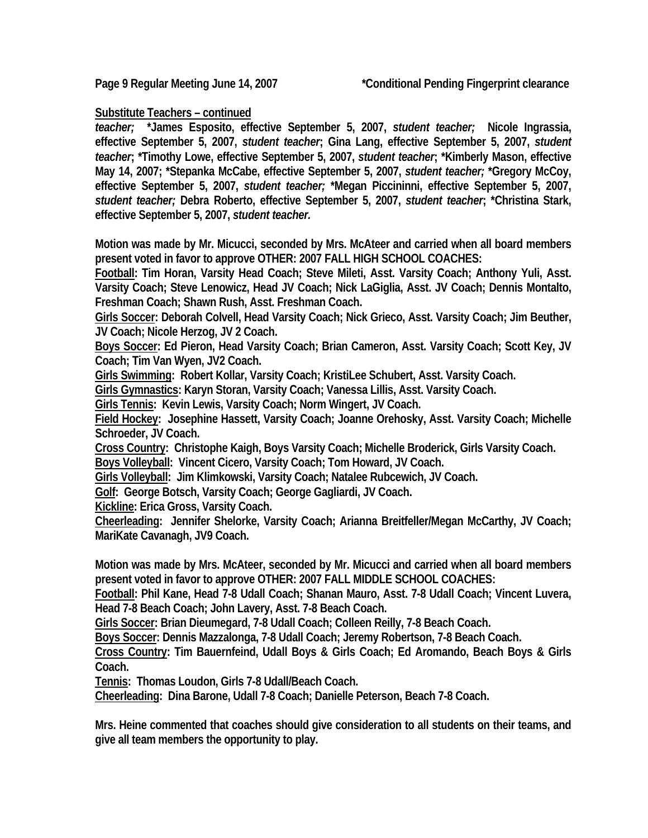## **Substitute Teachers – continued**

*teacher;* **\*James Esposito, effective September 5, 2007,** *student teacher;* **Nicole Ingrassia, effective September 5, 2007,** *student teacher***; Gina Lang, effective September 5, 2007,** *student teacher***; \*Timothy Lowe, effective September 5, 2007,** *student teacher***; \*Kimberly Mason, effective May 14, 2007; \*Stepanka McCabe, effective September 5, 2007,** *student teacher;* **\*Gregory McCoy, effective September 5, 2007,** *student teacher;* **\*Megan Piccininni, effective September 5, 2007,**  *student teacher;* **Debra Roberto, effective September 5, 2007,** *student teacher***; \*Christina Stark, effective September 5, 2007,** *student teacher.* 

**Motion was made by Mr. Micucci, seconded by Mrs. McAteer and carried when all board members present voted in favor to approve OTHER: 2007 FALL HIGH SCHOOL COACHES:** 

**Football: Tim Horan, Varsity Head Coach; Steve Mileti, Asst. Varsity Coach; Anthony Yuli, Asst. Varsity Coach; Steve Lenowicz, Head JV Coach; Nick LaGiglia, Asst. JV Coach; Dennis Montalto, Freshman Coach; Shawn Rush, Asst. Freshman Coach.** 

**Girls Soccer: Deborah Colvell, Head Varsity Coach; Nick Grieco, Asst. Varsity Coach; Jim Beuther, JV Coach; Nicole Herzog, JV 2 Coach.** 

**Boys Soccer: Ed Pieron, Head Varsity Coach; Brian Cameron, Asst. Varsity Coach; Scott Key, JV Coach; Tim Van Wyen, JV2 Coach.** 

**Girls Swimming: Robert Kollar, Varsity Coach; KristiLee Schubert, Asst. Varsity Coach.** 

**Girls Gymnastics: Karyn Storan, Varsity Coach; Vanessa Lillis, Asst. Varsity Coach.** 

**Girls Tennis: Kevin Lewis, Varsity Coach; Norm Wingert, JV Coach.** 

**Field Hockey: Josephine Hassett, Varsity Coach; Joanne Orehosky, Asst. Varsity Coach; Michelle Schroeder, JV Coach.** 

**Cross Country: Christophe Kaigh, Boys Varsity Coach; Michelle Broderick, Girls Varsity Coach. Boys Volleyball: Vincent Cicero, Varsity Coach; Tom Howard, JV Coach.** 

**Girls Volleyball: Jim Klimkowski, Varsity Coach; Natalee Rubcewich, JV Coach.** 

**Golf: George Botsch, Varsity Coach; George Gagliardi, JV Coach.** 

**Kickline: Erica Gross, Varsity Coach.** 

**Cheerleading: Jennifer Shelorke, Varsity Coach; Arianna Breitfeller/Megan McCarthy, JV Coach; MariKate Cavanagh, JV9 Coach.** 

**Motion was made by Mrs. McAteer, seconded by Mr. Micucci and carried when all board members present voted in favor to approve OTHER: 2007 FALL MIDDLE SCHOOL COACHES:** 

**Football: Phil Kane, Head 7-8 Udall Coach; Shanan Mauro, Asst. 7-8 Udall Coach; Vincent Luvera, Head 7-8 Beach Coach; John Lavery, Asst. 7-8 Beach Coach.** 

**Girls Soccer: Brian Dieumegard, 7-8 Udall Coach; Colleen Reilly, 7-8 Beach Coach.** 

**Boys Soccer: Dennis Mazzalonga, 7-8 Udall Coach; Jeremy Robertson, 7-8 Beach Coach.** 

**Cross Country: Tim Bauernfeind, Udall Boys & Girls Coach; Ed Aromando, Beach Boys & Girls Coach.** 

**Tennis: Thomas Loudon, Girls 7-8 Udall/Beach Coach.** 

**Cheerleading: Dina Barone, Udall 7-8 Coach; Danielle Peterson, Beach 7-8 Coach.** 

**Mrs. Heine commented that coaches should give consideration to all students on their teams, and give all team members the opportunity to play.**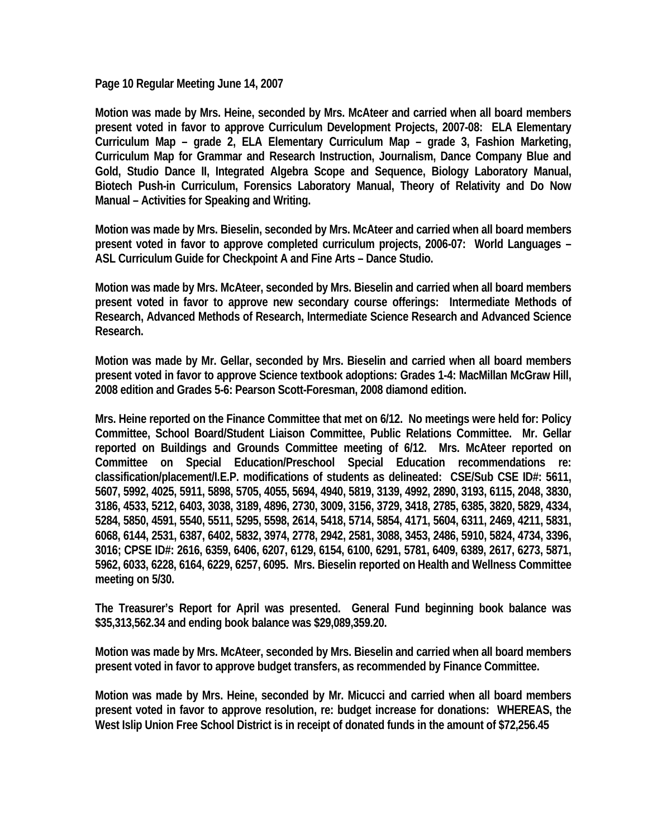**Page 10 Regular Meeting June 14, 2007** 

**Motion was made by Mrs. Heine, seconded by Mrs. McAteer and carried when all board members present voted in favor to approve Curriculum Development Projects, 2007-08: ELA Elementary Curriculum Map – grade 2, ELA Elementary Curriculum Map – grade 3, Fashion Marketing, Curriculum Map for Grammar and Research Instruction, Journalism, Dance Company Blue and Gold, Studio Dance II, Integrated Algebra Scope and Sequence, Biology Laboratory Manual, Biotech Push-in Curriculum, Forensics Laboratory Manual, Theory of Relativity and Do Now Manual – Activities for Speaking and Writing.** 

**Motion was made by Mrs. Bieselin, seconded by Mrs. McAteer and carried when all board members present voted in favor to approve completed curriculum projects, 2006-07: World Languages – ASL Curriculum Guide for Checkpoint A and Fine Arts – Dance Studio.** 

**Motion was made by Mrs. McAteer, seconded by Mrs. Bieselin and carried when all board members present voted in favor to approve new secondary course offerings: Intermediate Methods of Research, Advanced Methods of Research, Intermediate Science Research and Advanced Science Research.** 

**Motion was made by Mr. Gellar, seconded by Mrs. Bieselin and carried when all board members present voted in favor to approve Science textbook adoptions: Grades 1-4: MacMillan McGraw Hill, 2008 edition and Grades 5-6: Pearson Scott-Foresman, 2008 diamond edition.** 

**Mrs. Heine reported on the Finance Committee that met on 6/12. No meetings were held for: Policy Committee, School Board/Student Liaison Committee, Public Relations Committee. Mr. Gellar reported on Buildings and Grounds Committee meeting of 6/12. Mrs. McAteer reported on Committee on Special Education/Preschool Special Education recommendations re: classification/placement/I.E.P. modifications of students as delineated: CSE/Sub CSE ID#: 5611, 5607, 5992, 4025, 5911, 5898, 5705, 4055, 5694, 4940, 5819, 3139, 4992, 2890, 3193, 6115, 2048, 3830, 3186, 4533, 5212, 6403, 3038, 3189, 4896, 2730, 3009, 3156, 3729, 3418, 2785, 6385, 3820, 5829, 4334, 5284, 5850, 4591, 5540, 5511, 5295, 5598, 2614, 5418, 5714, 5854, 4171, 5604, 6311, 2469, 4211, 5831, 6068, 6144, 2531, 6387, 6402, 5832, 3974, 2778, 2942, 2581, 3088, 3453, 2486, 5910, 5824, 4734, 3396, 3016; CPSE ID#: 2616, 6359, 6406, 6207, 6129, 6154, 6100, 6291, 5781, 6409, 6389, 2617, 6273, 5871, 5962, 6033, 6228, 6164, 6229, 6257, 6095. Mrs. Bieselin reported on Health and Wellness Committee meeting on 5/30.** 

**The Treasurer's Report for April was presented. General Fund beginning book balance was \$35,313,562.34 and ending book balance was \$29,089,359.20.** 

**Motion was made by Mrs. McAteer, seconded by Mrs. Bieselin and carried when all board members present voted in favor to approve budget transfers, as recommended by Finance Committee.** 

**Motion was made by Mrs. Heine, seconded by Mr. Micucci and carried when all board members present voted in favor to approve resolution, re: budget increase for donations: WHEREAS, the West Islip Union Free School District is in receipt of donated funds in the amount of \$72,256.45**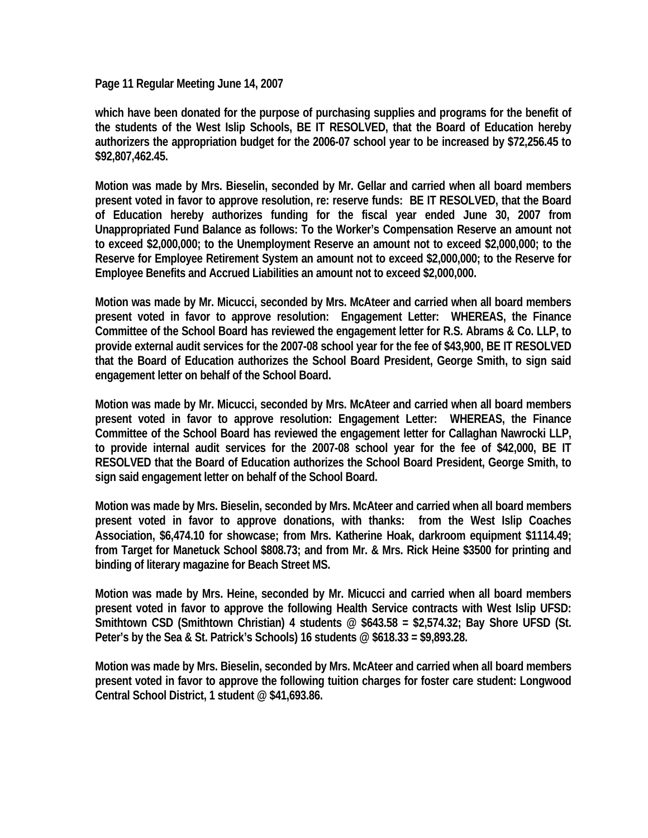**Page 11 Regular Meeting June 14, 2007** 

**which have been donated for the purpose of purchasing supplies and programs for the benefit of the students of the West Islip Schools, BE IT RESOLVED, that the Board of Education hereby authorizers the appropriation budget for the 2006-07 school year to be increased by \$72,256.45 to \$92,807,462.45.** 

**Motion was made by Mrs. Bieselin, seconded by Mr. Gellar and carried when all board members present voted in favor to approve resolution, re: reserve funds: BE IT RESOLVED, that the Board of Education hereby authorizes funding for the fiscal year ended June 30, 2007 from Unappropriated Fund Balance as follows: To the Worker's Compensation Reserve an amount not to exceed \$2,000,000; to the Unemployment Reserve an amount not to exceed \$2,000,000; to the Reserve for Employee Retirement System an amount not to exceed \$2,000,000; to the Reserve for Employee Benefits and Accrued Liabilities an amount not to exceed \$2,000,000.** 

**Motion was made by Mr. Micucci, seconded by Mrs. McAteer and carried when all board members present voted in favor to approve resolution: Engagement Letter: WHEREAS, the Finance Committee of the School Board has reviewed the engagement letter for R.S. Abrams & Co. LLP, to provide external audit services for the 2007-08 school year for the fee of \$43,900, BE IT RESOLVED that the Board of Education authorizes the School Board President, George Smith, to sign said engagement letter on behalf of the School Board.** 

**Motion was made by Mr. Micucci, seconded by Mrs. McAteer and carried when all board members present voted in favor to approve resolution: Engagement Letter: WHEREAS, the Finance Committee of the School Board has reviewed the engagement letter for Callaghan Nawrocki LLP, to provide internal audit services for the 2007-08 school year for the fee of \$42,000, BE IT RESOLVED that the Board of Education authorizes the School Board President, George Smith, to sign said engagement letter on behalf of the School Board.** 

**Motion was made by Mrs. Bieselin, seconded by Mrs. McAteer and carried when all board members present voted in favor to approve donations, with thanks: from the West Islip Coaches Association, \$6,474.10 for showcase; from Mrs. Katherine Hoak, darkroom equipment \$1114.49; from Target for Manetuck School \$808.73; and from Mr. & Mrs. Rick Heine \$3500 for printing and binding of literary magazine for Beach Street MS.** 

**Motion was made by Mrs. Heine, seconded by Mr. Micucci and carried when all board members present voted in favor to approve the following Health Service contracts with West Islip UFSD: Smithtown CSD (Smithtown Christian) 4 students @ \$643.58 = \$2,574.32; Bay Shore UFSD (St. Peter's by the Sea & St. Patrick's Schools) 16 students @ \$618.33 = \$9,893.28.** 

**Motion was made by Mrs. Bieselin, seconded by Mrs. McAteer and carried when all board members present voted in favor to approve the following tuition charges for foster care student: Longwood Central School District, 1 student @ \$41,693.86.**